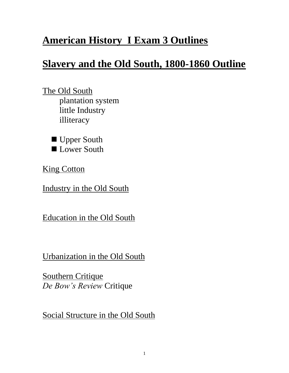# **American History I Exam 3 Outlines**

# **Slavery and the Old South, 1800-1860 Outline**

The Old South plantation system little Industry illiteracy

■ Upper South Lower South

**King Cotton** 

Industry in the Old South

Education in the Old South

Urbanization in the Old South

**Southern Critique** *De Bow's Review* Critique

Social Structure in the Old South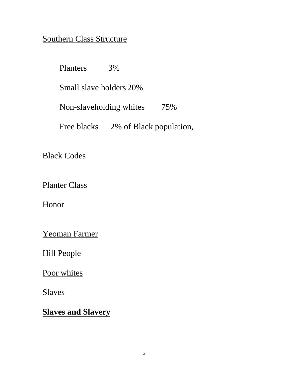#### Southern Class Structure

Planters 3% Small slave holders 20% Non-slaveholding whites 75% Free blacks 2% of Black population,

Black Codes

Planter Class

Honor

Yeoman Farmer

Hill People

Poor whites

Slaves

**Slaves and Slavery**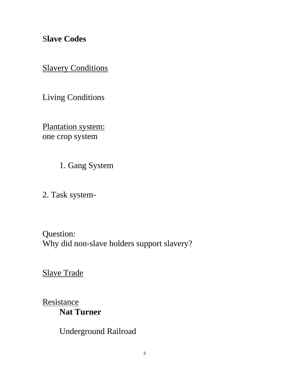S**lave Codes**

**Slavery Conditions** 

Living Conditions

Plantation system: one crop system

1. Gang System

2. Task system-

Question: Why did non-slave holders support slavery?

Slave Trade

**Resistance Nat Turner**

Underground Railroad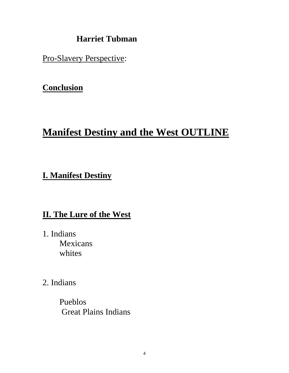#### **Harriet Tubman**

Pro-Slavery Perspective:

## **Conclusion**

# **Manifest Destiny and the West OUTLINE**

## **I. Manifest Destiny**

## **II. The Lure of the West**

- 1. Indians Mexicans whites
- 2. Indians

Pueblos Great Plains Indians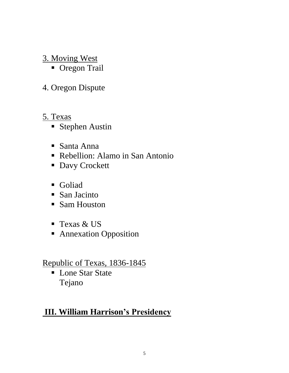## 3. Moving West

**Oregon Trail** 

## 4. Oregon Dispute

#### 5. Texas

- **Stephen Austin**
- Santa Anna
- Rebellion: Alamo in San Antonio
- **Davy Crockett**
- Goliad
- San Jacinto
- Sam Houston
- Texas & US
- **Annexation Opposition**

Republic of Texas, 1836-1845

■ Lone Star State Tejano

# **III. William Harrison's Presidency**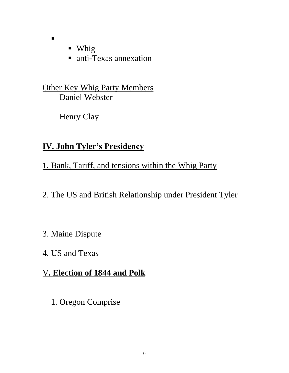• Whig

 $\blacksquare$ 

■ anti-Texas annexation

Other Key Whig Party Members Daniel Webster

Henry Clay

## **IV. John Tyler's Presidency**

1. Bank, Tariff, and tensions within the Whig Party

2. The US and British Relationship under President Tyler

3. Maine Dispute

4. US and Texas

## V**. Election of 1844 and Polk**

1. Oregon Comprise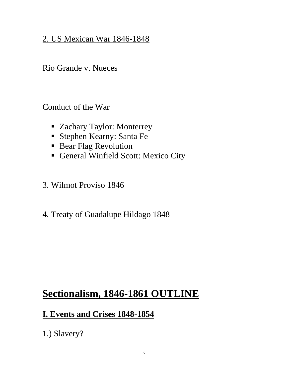### 2. US Mexican War 1846-1848

Rio Grande v. Nueces

Conduct of the War

- Zachary Taylor: Monterrey
- Stephen Kearny: Santa Fe
- **Bear Flag Revolution**
- General Winfield Scott: Mexico City
- 3. Wilmot Proviso 1846
- 4. Treaty of Guadalupe Hildago 1848

# **Sectionalism, 1846-1861 OUTLINE**

#### **I. Events and Crises 1848-1854**

1.) Slavery?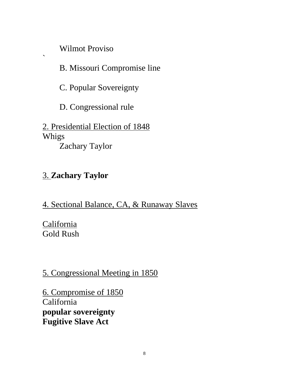Wilmot Proviso

 $\ddot{\phantom{0}}$ 

B. Missouri Compromise line

C. Popular Sovereignty

D. Congressional rule

2. Presidential Election of 1848 Whigs Zachary Taylor

# 3. **Zachary Taylor**

4. Sectional Balance, CA, & Runaway Slaves

**California** Gold Rush

5. Congressional Meeting in 1850

6. Compromise of 1850 California **popular sovereignty Fugitive Slave Act**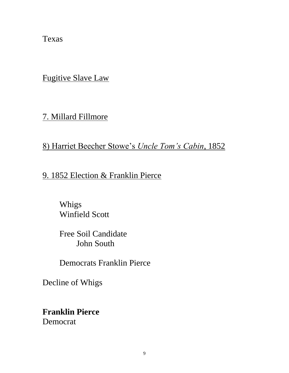Texas

Fugitive Slave Law

7. Millard Fillmore

8) Harriet Beecher Stowe's *Uncle Tom's Cabin*, 1852

9. 1852 Election & Franklin Pierce

Whigs Winfield Scott

Free Soil Candidate John South

Democrats Franklin Pierce

Decline of Whigs

**Franklin Pierce** Democrat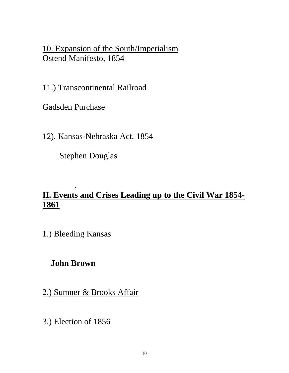10. Expansion of the South/Imperialism Ostend Manifesto, 1854

11.) Transcontinental Railroad

Gadsden Purchase

12). Kansas-Nebraska Act, 1854

Stephen Douglas

#### **. II. Events and Crises Leading up to the Civil War 1854- 1861**

1.) Bleeding Kansas

#### **John Brown**

2.) Sumner & Brooks Affair

3.) Election of 1856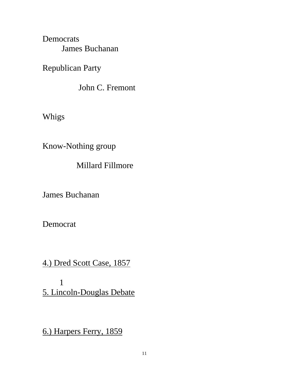Democrats James Buchanan

Republican Party

John C. Fremont

Whigs

Know-Nothing group

Millard Fillmore

James Buchanan

Democrat

4.) Dred Scott Case, 1857

1 5. Lincoln-Douglas Debate

6.) Harpers Ferry, 1859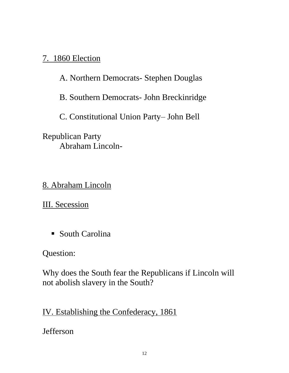### 7. 1860 Election

A. Northern Democrats- Stephen Douglas

B. Southern Democrats- John Breckinridge

C. Constitutional Union Party– John Bell

Republican Party Abraham Lincoln-

8. Abraham Lincoln

III. Secession

■ South Carolina

Question:

Why does the South fear the Republicans if Lincoln will not abolish slavery in the South?

IV. Establishing the Confederacy, 1861

Jefferson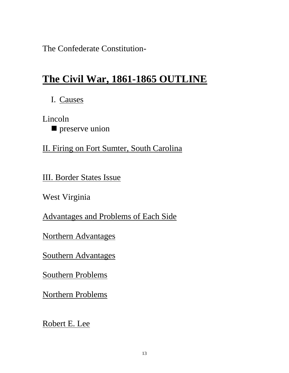The Confederate Constitution-

# **The Civil War, 1861-1865 OUTLINE**

I. Causes

Lincoln **preserve union** 

II. Firing on Fort Sumter, South Carolina

III. Border States Issue

West Virginia

Advantages and Problems of Each Side

Northern Advantages

Southern Advantages

Southern Problems

Northern Problems

Robert E. Lee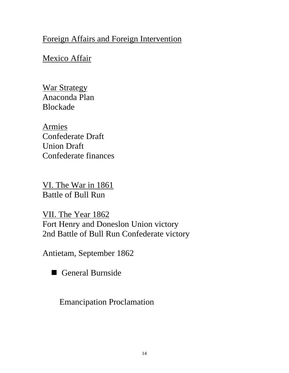## Foreign Affairs and Foreign Intervention

### Mexico Affair

War Strategy Anaconda Plan Blockade

Armies Confederate Draft Union Draft Confederate finances

VI. The War in 1861 Battle of Bull Run

VII. The Year 1862 Fort Henry and Doneslon Union victory 2nd Battle of Bull Run Confederate victory

Antietam, September 1862

General Burnside

Emancipation Proclamation